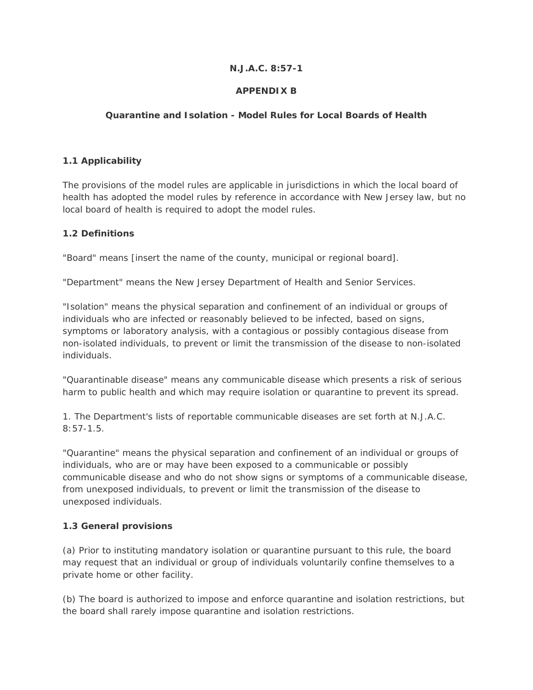#### **N.J.A.C. 8:57-1**

## **APPENDIX B**

## **Quarantine and Isolation - Model Rules for Local Boards of Health**

#### **1.1 Applicability**

The provisions of the model rules are applicable in jurisdictions in which the local board of health has adopted the model rules by reference in accordance with New Jersey law, but no local board of health is required to adopt the model rules.

#### **1.2 Definitions**

"Board" means [insert the name of the county, municipal or regional board].

"Department" means the New Jersey Department of Health and Senior Services.

"Isolation" means the physical separation and confinement of an individual or groups of individuals who are infected or reasonably believed to be infected, based on signs, symptoms or laboratory analysis, with a contagious or possibly contagious disease from non-isolated individuals, to prevent or limit the transmission of the disease to non-isolated individuals.

"Quarantinable disease" means any communicable disease which presents a risk of serious harm to public health and which may require isolation or quarantine to prevent its spread.

1. The Department's lists of reportable communicable diseases are set forth at N.J.A.C. 8:57-1.5.

"Quarantine" means the physical separation and confinement of an individual or groups of individuals, who are or may have been exposed to a communicable or possibly communicable disease and who do not show signs or symptoms of a communicable disease, from unexposed individuals, to prevent or limit the transmission of the disease to unexposed individuals.

#### **1.3 General provisions**

(a) Prior to instituting mandatory isolation or quarantine pursuant to this rule, the board may request that an individual or group of individuals voluntarily confine themselves to a private home or other facility.

(b) The board is authorized to impose and enforce quarantine and isolation restrictions, but the board shall rarely impose quarantine and isolation restrictions.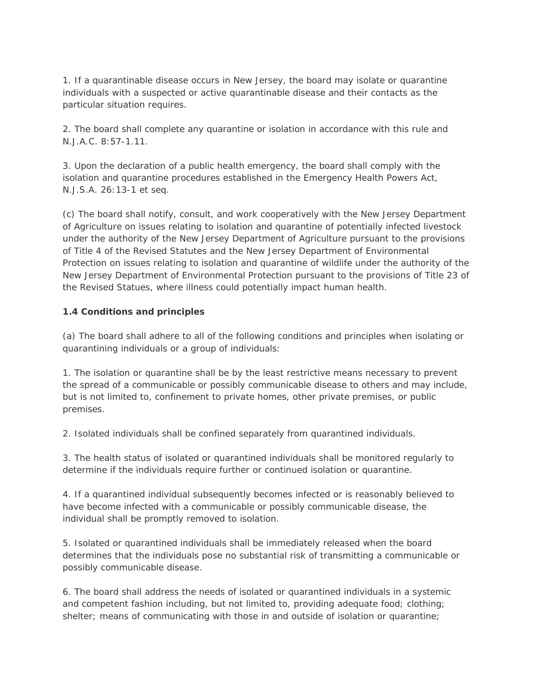1. If a quarantinable disease occurs in New Jersey, the board may isolate or quarantine individuals with a suspected or active quarantinable disease and their contacts as the particular situation requires.

2. The board shall complete any quarantine or isolation in accordance with this rule and N.J.A.C. 8:57-1.11.

3. Upon the declaration of a public health emergency, the board shall comply with the isolation and quarantine procedures established in the Emergency Health Powers Act, N.J.S.A. 26:13-1 et seq.

(c) The board shall notify, consult, and work cooperatively with the New Jersey Department of Agriculture on issues relating to isolation and quarantine of potentially infected livestock under the authority of the New Jersey Department of Agriculture pursuant to the provisions of Title 4 of the Revised Statutes and the New Jersey Department of Environmental Protection on issues relating to isolation and quarantine of wildlife under the authority of the New Jersey Department of Environmental Protection pursuant to the provisions of Title 23 of the Revised Statues, where illness could potentially impact human health.

## **1.4 Conditions and principles**

(a) The board shall adhere to all of the following conditions and principles when isolating or quarantining individuals or a group of individuals:

1. The isolation or quarantine shall be by the least restrictive means necessary to prevent the spread of a communicable or possibly communicable disease to others and may include, but is not limited to, confinement to private homes, other private premises, or public premises.

2. Isolated individuals shall be confined separately from quarantined individuals.

3. The health status of isolated or quarantined individuals shall be monitored regularly to determine if the individuals require further or continued isolation or quarantine.

4. If a quarantined individual subsequently becomes infected or is reasonably believed to have become infected with a communicable or possibly communicable disease, the individual shall be promptly removed to isolation.

5. Isolated or quarantined individuals shall be immediately released when the board determines that the individuals pose no substantial risk of transmitting a communicable or possibly communicable disease.

6. The board shall address the needs of isolated or quarantined individuals in a systemic and competent fashion including, but not limited to, providing adequate food; clothing; shelter; means of communicating with those in and outside of isolation or quarantine;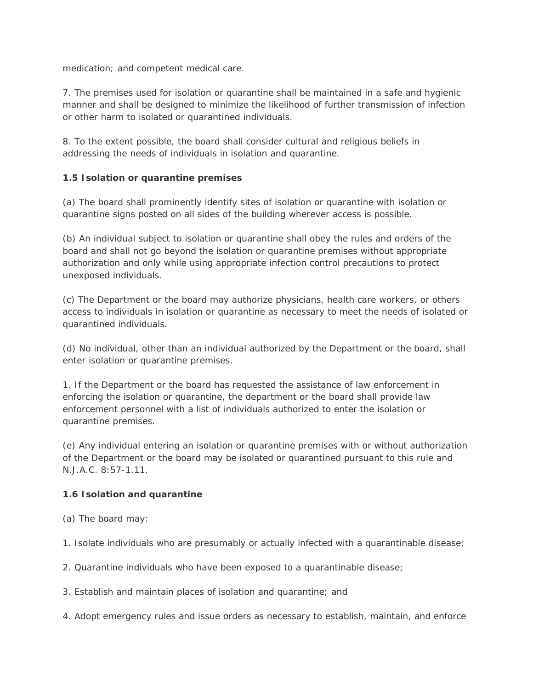medication; and competent medical care.

7. The premises used for isolation or quarantine shall be maintained in a safe and hygienic manner and shall be designed to minimize the likelihood of further transmission of infection or other harm to isolated or quarantined individuals.

8. To the extent possible, the board shall consider cultural and religious beliefs in addressing the needs of individuals in isolation and quarantine.

## **1.5 Isolation or quarantine premises**

(a) The board shall prominently identify sites of isolation or quarantine with isolation or quarantine signs posted on all sides of the building wherever access is possible.

(b) An individual subject to isolation or quarantine shall obey the rules and orders of the board and shall not go beyond the isolation or quarantine premises without appropriate authorization and only while using appropriate infection control precautions to protect unexposed individuals.

(c) The Department or the board may authorize physicians, health care workers, or others access to individuals in isolation or quarantine as necessary to meet the needs of isolated or quarantined individuals.

(d) No individual, other than an individual authorized by the Department or the board, shall enter isolation or quarantine premises.

1. If the Department or the board has requested the assistance of law enforcement in enforcing the isolation or quarantine, the department or the board shall provide law enforcement personnel with a list of individuals authorized to enter the isolation or quarantine premises.

(e) Any individual entering an isolation or quarantine premises with or without authorization of the Department or the board may be isolated or quarantined pursuant to this rule and N.J.A.C. 8:57-1.11.

## **1.6 Isolation and quarantine**

- (a) The board may:
- 1. Isolate individuals who are presumably or actually infected with a quarantinable disease;
- 2. Quarantine individuals who have been exposed to a quarantinable disease;
- 3. Establish and maintain places of isolation and quarantine; and
- 4. Adopt emergency rules and issue orders as necessary to establish, maintain, and enforce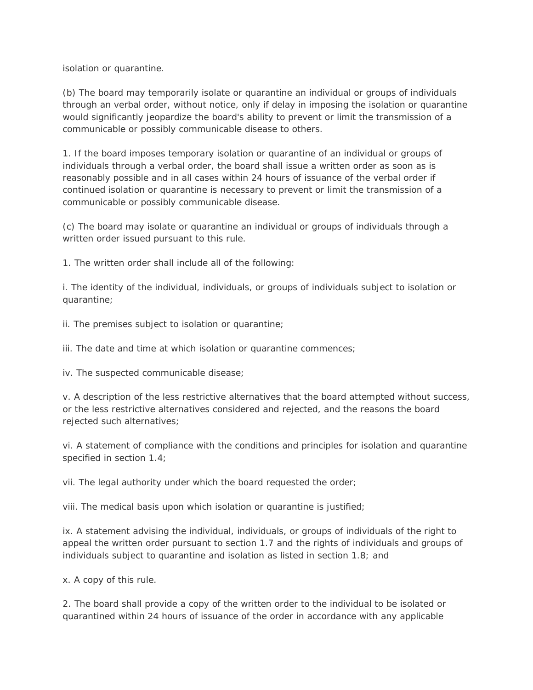isolation or quarantine.

(b) The board may temporarily isolate or quarantine an individual or groups of individuals through an verbal order, without notice, only if delay in imposing the isolation or quarantine would significantly jeopardize the board's ability to prevent or limit the transmission of a communicable or possibly communicable disease to others.

1. If the board imposes temporary isolation or quarantine of an individual or groups of individuals through a verbal order, the board shall issue a written order as soon as is reasonably possible and in all cases within 24 hours of issuance of the verbal order if continued isolation or quarantine is necessary to prevent or limit the transmission of a communicable or possibly communicable disease.

(c) The board may isolate or quarantine an individual or groups of individuals through a written order issued pursuant to this rule.

1. The written order shall include all of the following:

i. The identity of the individual, individuals, or groups of individuals subject to isolation or quarantine;

ii. The premises subject to isolation or quarantine;

iii. The date and time at which isolation or quarantine commences;

iv. The suspected communicable disease;

v. A description of the less restrictive alternatives that the board attempted without success, or the less restrictive alternatives considered and rejected, and the reasons the board rejected such alternatives;

vi. A statement of compliance with the conditions and principles for isolation and quarantine specified in section 1.4;

vii. The legal authority under which the board requested the order;

viii. The medical basis upon which isolation or quarantine is justified;

ix. A statement advising the individual, individuals, or groups of individuals of the right to appeal the written order pursuant to section 1.7 and the rights of individuals and groups of individuals subject to quarantine and isolation as listed in section 1.8; and

x. A copy of this rule.

2. The board shall provide a copy of the written order to the individual to be isolated or quarantined within 24 hours of issuance of the order in accordance with any applicable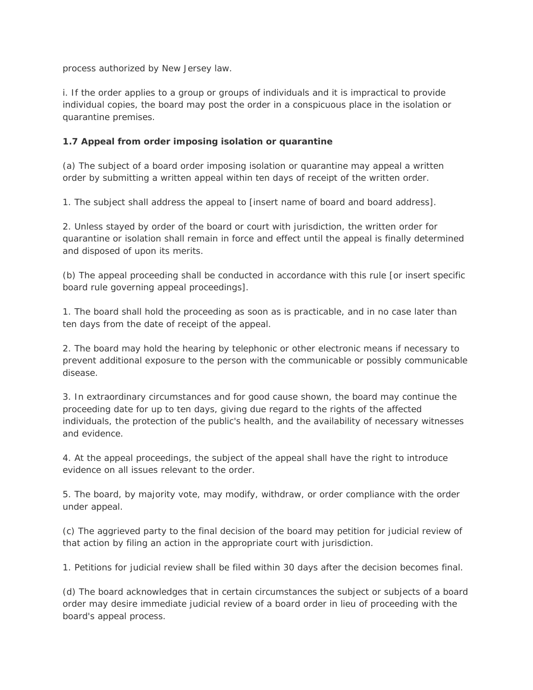process authorized by New Jersey law.

i. If the order applies to a group or groups of individuals and it is impractical to provide individual copies, the board may post the order in a conspicuous place in the isolation or quarantine premises.

# **1.7 Appeal from order imposing isolation or quarantine**

(a) The subject of a board order imposing isolation or quarantine may appeal a written order by submitting a written appeal within ten days of receipt of the written order.

1. The subject shall address the appeal to [insert name of board and board address].

2. Unless stayed by order of the board or court with jurisdiction, the written order for quarantine or isolation shall remain in force and effect until the appeal is finally determined and disposed of upon its merits.

(b) The appeal proceeding shall be conducted in accordance with this rule [or insert specific board rule governing appeal proceedings].

1. The board shall hold the proceeding as soon as is practicable, and in no case later than ten days from the date of receipt of the appeal.

2. The board may hold the hearing by telephonic or other electronic means if necessary to prevent additional exposure to the person with the communicable or possibly communicable disease.

3. In extraordinary circumstances and for good cause shown, the board may continue the proceeding date for up to ten days, giving due regard to the rights of the affected individuals, the protection of the public's health, and the availability of necessary witnesses and evidence.

4. At the appeal proceedings, the subject of the appeal shall have the right to introduce evidence on all issues relevant to the order.

5. The board, by majority vote, may modify, withdraw, or order compliance with the order under appeal.

(c) The aggrieved party to the final decision of the board may petition for judicial review of that action by filing an action in the appropriate court with jurisdiction.

1. Petitions for judicial review shall be filed within 30 days after the decision becomes final.

(d) The board acknowledges that in certain circumstances the subject or subjects of a board order may desire immediate judicial review of a board order in lieu of proceeding with the board's appeal process.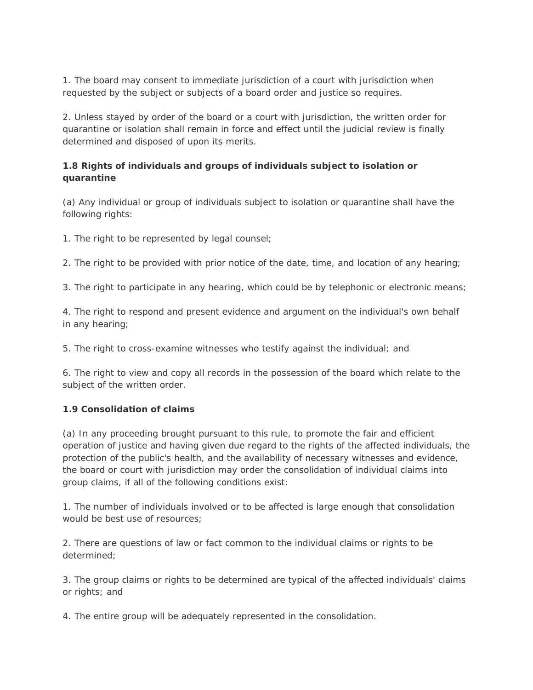1. The board may consent to immediate jurisdiction of a court with jurisdiction when requested by the subject or subjects of a board order and justice so requires.

2. Unless stayed by order of the board or a court with jurisdiction, the written order for quarantine or isolation shall remain in force and effect until the judicial review is finally determined and disposed of upon its merits.

# **1.8 Rights of individuals and groups of individuals subject to isolation or quarantine**

(a) Any individual or group of individuals subject to isolation or quarantine shall have the following rights:

1. The right to be represented by legal counsel;

2. The right to be provided with prior notice of the date, time, and location of any hearing;

3. The right to participate in any hearing, which could be by telephonic or electronic means;

4. The right to respond and present evidence and argument on the individual's own behalf in any hearing;

5. The right to cross-examine witnesses who testify against the individual; and

6. The right to view and copy all records in the possession of the board which relate to the subject of the written order.

#### **1.9 Consolidation of claims**

(a) In any proceeding brought pursuant to this rule, to promote the fair and efficient operation of justice and having given due regard to the rights of the affected individuals, the protection of the public's health, and the availability of necessary witnesses and evidence, the board or court with jurisdiction may order the consolidation of individual claims into group claims, if all of the following conditions exist:

1. The number of individuals involved or to be affected is large enough that consolidation would be best use of resources;

2. There are questions of law or fact common to the individual claims or rights to be determined;

3. The group claims or rights to be determined are typical of the affected individuals' claims or rights; and

4. The entire group will be adequately represented in the consolidation.